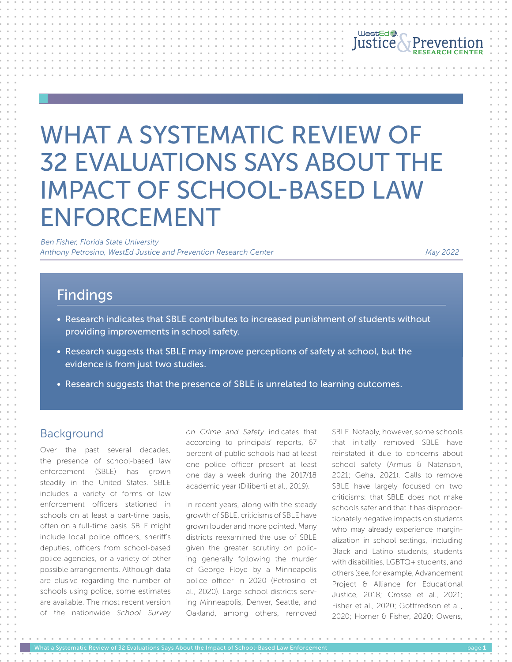

# WHAT A SYSTEMATIC REVIEW OF 32 EVALUATIONS SAYS ABOUT THE IMPACT OF SCHOOL-BASED LAW ENFORCEMENT

 *Ben Fisher, Florida State University Anthony Petrosino, WestEd Justice and Prevention Research Center May 2022*

## Findings

- Research indicates that SBLE contributes to increased punishment of students without providing improvements in school safety.
- Research suggests that SBLE may improve perceptions of safety at school, but the evidence is from just two studies.
- Research suggests that the presence of SBLE is unrelated to learning outcomes.

### Background

Over the past several decades, the presence of school-based law enforcement (SBLE) has grown steadily in the United States. SBLE includes a variety of forms of law enforcement officers stationed in schools on at least a part-time basis, often on a full-time basis. SBLE might include local police officers, sheriff's deputies, officers from school-based police agencies, or a variety of other possible arrangements. Although data are elusive regarding the number of schools using police, some estimates are available. The most recent version of the nationwide *School Survey*  *on Crime and Safety* indicates that according to principals' reports, 67 percent of public schools had at least one police officer present at least one day a week during the 2017/18 academic year (Diliberti et al., 2019).

In recent years, along with the steady growth of SBLE, criticisms of SBLE have grown louder and more pointed. Many districts reexamined the use of SBLE given the greater scrutiny on policing generally following the murder of George Floyd by a Minneapolis police officer in 2020 (Petrosino et al., 2020). Large school districts serving Minneapolis, Denver, Seattle, and Oakland, among others, removed SBLE. Notably, however, some schools that initially removed SBLE have reinstated it due to concerns about school safety (Armus & Natanson, 2021; Geha, 2021). Calls to remove SBLE have largely focused on two criticisms: that SBLE does not make schools safer and that it has disproportionately negative impacts on students who may already experience marginalization in school settings, including Black and Latino students, students with disabilities, LGBTQ+ students, and others (see, for example, Advancement Project & Alliance for Educational Justice, 2018; Crosse et al., 2021; Fisher et al., 2020; Gottfredson et al., 2020; Homer & Fisher, 2020; Owens,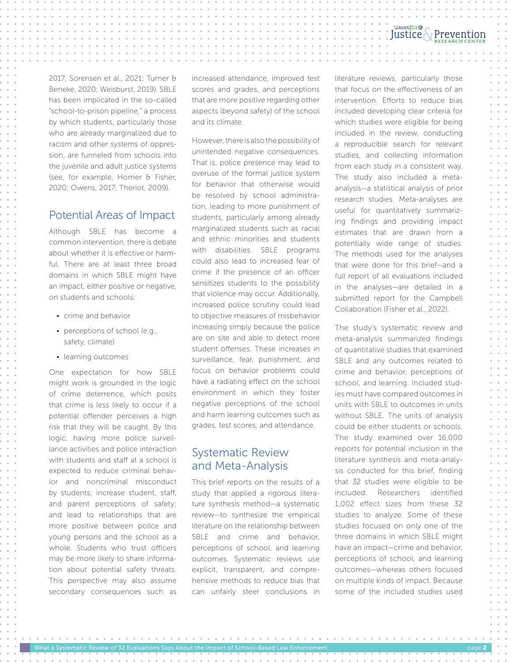#### WestEd **RESEARCH CENTER**

2017; Sorensen et al., 2021; Turner & Beneke, 2020; Weisburst, 2019). SBLE has been implicated in the so-called "school-to-prison pipeline," a process by which students, particularly those who are already marginalized due to racism and other systems of oppression, are funneled from schools into the juvenile and adult justice systems (see, for example, Homer & Fisher, 2020; Owens, 2017; Theriot, 2009).

#### Potential Areas of Impact

Although SBLE has become a common intervention, there is debate about whether it is effective or harmful. There are at least three broad domains in which SBLE might have an impact, either positive or negative, on students and schools:

- crime and behavior
- perceptions of school (e.g., safety, climate)
- learning outcomes

One expectation for how SBLE might work is grounded in the logic of crime deterrence, which posits that crime is less likely to occur if a potential offender perceives a high risk that they will be caught. By this logic, having more police surveillance activities and police interaction with students and staff at a school is expected to reduce criminal behavior and noncriminal misconduct by students; increase student, staff, and parent perceptions of safety; and lead to relationships that are more positive between police and young persons and the school as a whole. Students who trust officers may be more likely to share information about potential safety threats. This perspective may also assume secondary consequences such as

increased attendance, improved test scores and grades, and perceptions that are more positive regarding other aspects (beyond safety) of the school and its climate.

However, there is also the possibility of unintended negative consequences. That is, police presence may lead to overuse of the formal justice system for behavior that otherwise would be resolved by school administration, leading to more punishment of students, particularly among already marginalized students such as racial and ethnic minorities and students with disabilities. SBLE programs could also lead to increased fear of crime if the presence of an officer sensitizes students to the possibility that violence may occur. Additionally, increased police scrutiny could lead to objective measures of misbehavior increasing simply because the police are on site and able to detect more student offenses. These increases in surveillance, fear, punishment, and focus on behavior problems could have a radiating effect on the school environment in which they foster negative perceptions of the school and harm learning outcomes such as grades, test scores, and attendance.

### Systematic Review and Meta-Analysis

This brief reports on the results of a study that applied a rigorous literature synthesis method—a systematic review—to synthesize the empirical literature on the relationship between SBLE and crime and behavior, perceptions of school, and learning outcomes. Systematic reviews use explicit, transparent, and comprehensive methods to reduce bias that can unfairly steer conclusions in literature reviews, particularly those that focus on the effectiveness of an intervention. Efforts to reduce bias included developing clear criteria for which studies were eligible for being included in the review, conducting a reproducible search for relevant studies, and collecting information from each study in a consistent way. The study also included a metaanalysis—a statistical analysis of prior research studies. Meta-analyses are useful for quantitatively summarizing findings and providing impact estimates that are drawn from a potentially wide range of studies. The methods used for the analyses that were done for this brief—and a full report of all evaluations included in the analyses—are detailed in a submitted report for the Campbell Collaboration (Fisher et al., 2022).

The study's systematic review and meta-analysis summarized findings of quantitative studies that examined SBLE and any outcomes related to crime and behavior, perceptions of school, and learning. Included studies must have compared outcomes in units with SBLE to outcomes in units without SBLE. The units of analysis could be either students or schools. The study examined over 16,000 reports for potential inclusion in the literature synthesis and meta-analysis conducted for this brief, finding that 32 studies were eligible to be included. Researchers identified 1,002 effect sizes from these 32 studies to analyze. Some of these studies focused on only one of the three domains in which SBLE might have an impact—crime and behavior, perceptions of school, and learning outcomes—whereas others focused on multiple kinds of impact. Because some of the included studies used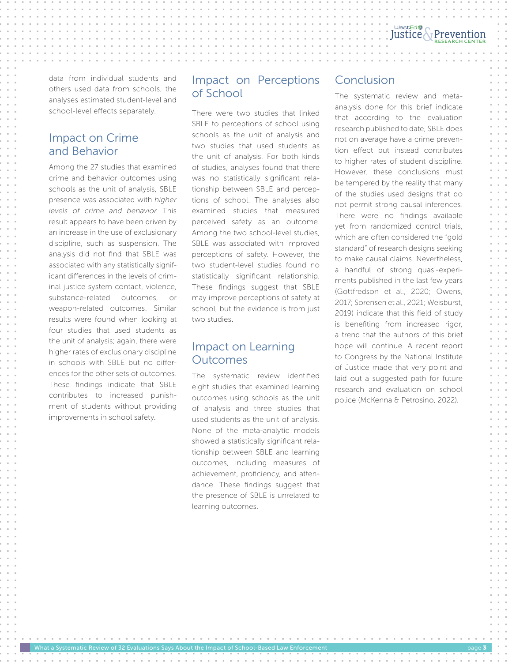data from individual students and others used data from schools, the analyses estimated student-level and school-level effects separately.

## Impact on Crime and Behavior

Among the 27 studies that examined crime and behavior outcomes using schools as the unit of analysis, SBLE presence was associated with *higher levels of crime and behavior*. This result appears to have been driven by an increase in the use of exclusionary discipline, such as suspension. The analysis did not find that SBLE was associated with any statistically significant differences in the levels of criminal justice system contact, violence, substance-related outcomes, weapon-related outcomes. Similar results were found when looking at four studies that used students as the unit of analysis; again, there were higher rates of exclusionary discipline in schools with SBLE but no differences for the other sets of outcomes. These findings indicate that SBLE contributes to increased punishment of students without providing improvements in school safety.

#### Impact on Perceptions of School

There were two studies that linked SBLE to perceptions of school using schools as the unit of analysis and two studies that used students as the unit of analysis. For both kinds of studies, analyses found that there was no statistically significant relationship between SBLE and perceptions of school. The analyses also examined studies that measured perceived safety as an outcome. Among the two school-level studies, SBLE was associated with improved perceptions of safety. However, the two student-level studies found no statistically significant relationship. These findings suggest that SBLE may improve perceptions of safety at school, but the evidence is from just two studies.

## Impact on Learning **Outcomes**

The systematic review identified eight studies that examined learning outcomes using schools as the unit of analysis and three studies that used students as the unit of analysis. None of the meta-analytic models showed a statistically significant relationship between SBLE and learning outcomes, including measures of achievement, proficiency, and attendance. These findings suggest that the presence of SBLE is unrelated to learning outcomes.

## Conclusion

The systematic review and metaanalysis done for this brief indicate that according to the evaluation research published to date, SBLE does not on average have a crime prevention effect but instead contributes to higher rates of student discipline. However, these conclusions must be tempered by the reality that many of the studies used designs that do not permit strong causal inferences. There were no findings available yet from randomized control trials, which are often considered the "gold standard" of research designs seeking to make causal claims. Nevertheless, a handful of strong quasi-experiments published in the last few years (Gottfredson et al., 2020; Owens, 2017; Sorensen et al., 2021; Weisburst, 2019) indicate that this field of study is benefiting from increased rigor, a trend that the authors of this brief hope will continue. A recent report to Congress by the National Institute of Justice made that very point and laid out a suggested path for future research and evaluation on school police (McKenna & Petrosino, 2022).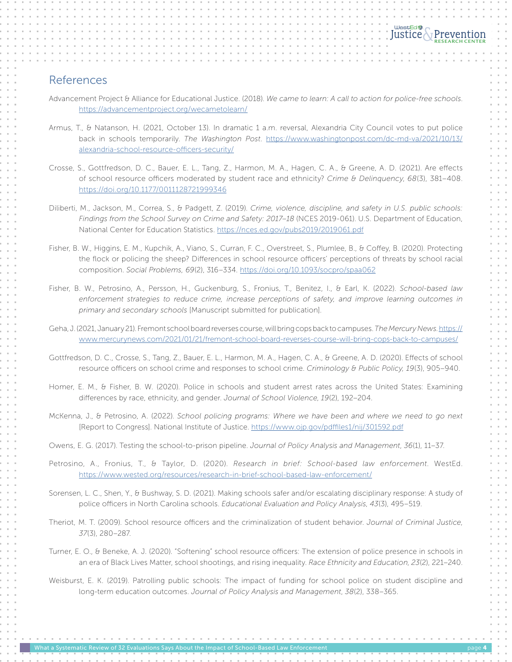#### References

- Advancement Project & Alliance for Educational Justice. (2018). *We came to learn: A call to action for police-free schools*. <https://advancementproject.org/wecametolearn/>
- Armus, T., & Natanson, H. (2021, October 13). In dramatic 1 a.m. reversal, Alexandria City Council votes to put police back in schools temporarily. *The Washington Post*. [https://www.washingtonpost.com/dc-md-va/2021/10/13/](https://www.washingtonpost.com/dc-md-va/2021/10/13/alexandria-school-resource-officers-security/) [alexandria-school-resource-officers-security/](https://www.washingtonpost.com/dc-md-va/2021/10/13/alexandria-school-resource-officers-security/)
- Crosse, S., Gottfredson, D. C., Bauer, E. L., Tang, Z., Harmon, M. A., Hagen, C. A., & Greene, A. D. (2021). Are effects of school resource officers moderated by student race and ethnicity? *Crime & Delinquency*, *68*(3), 381–408. <https://doi.org/10.1177/0011128721999346>
- Diliberti, M., Jackson, M., Correa, S., & Padgett, Z. (2019). *Crime, violence, discipline, and safety in U.S. public schools: Findings from the School Survey on Crime and Safety: 2017–18* (NCES 2019-061). U.S. Department of Education, National Center for Education Statistics. <https://nces.ed.gov/pubs2019/2019061.pdf>
- Fisher, B. W., Higgins, E. M., Kupchik, A., Viano, S., Curran, F. C., Overstreet, S., Plumlee, B., & Coffey, B. (2020). Protecting the flock or policing the sheep? Differences in school resource officers' perceptions of threats by school racial composition. *Social Problems, 69*(2), 316–334. <https://doi.org/10.1093/socpro/spaa062>
- Fisher, B. W., Petrosino, A., Persson, H., Guckenburg, S., Fronius, T., Benitez, I., & Earl, K. (2022). *School-based law enforcement strategies to reduce crime, increase perceptions of safety, and improve learning outcomes in primary and secondary schools* [Manuscript submitted for publication].
- Geha, J. (2021, January 21). Fremont school board reverses course, will bring cops back to campuses. *The Mercury News*. [https://](https://www.mercurynews.com/2021/01/21/fremont-school-board-reverses-course-will-bring-cops-back-to-campuses/) [www.mercurynews.com/2021/01/21/fremont-school-board-reverses-course-will-bring-cops-back-to-campuses/](https://www.mercurynews.com/2021/01/21/fremont-school-board-reverses-course-will-bring-cops-back-to-campuses/)
- Gottfredson, D. C., Crosse, S., Tang, Z., Bauer, E. L., Harmon, M. A., Hagen, C. A., & Greene, A. D. (2020). Effects of school resource officers on school crime and responses to school crime. *Criminology & Public Policy, 19*(3), 905–940.
- Homer, E. M., & Fisher, B. W. (2020). Police in schools and student arrest rates across the United States: Examining differences by race, ethnicity, and gender. *Journal of School Violence*, *19*(2), 192–204.
- McKenna, J., & Petrosino, A. (2022). *School policing programs: Where we have been and where we need to go next*  [Report to Congress]. National Institute of Justice. <https://www.ojp.gov/pdffiles1/nij/301592.pdf>
- Owens, E. G. (2017). Testing the school-to-prison pipeline. *Journal of Policy Analysis and Management*, *36*(1), 11–37.
- Petrosino, A., Fronius, T., & Taylor, D. (2020). *Research in brief: School-based law enforcement*. WestEd. <https://www.wested.org/resources/research-in-brief-school-based-law-enforcement/>
- Sorensen, L. C., Shen, Y., & Bushway, S. D. (2021). Making schools safer and/or escalating disciplinary response: A study of police officers in North Carolina schools. *Educational Evaluation and Policy Analysis*, *43*(3), 495–519.
- Theriot, M. T. (2009). School resource officers and the criminalization of student behavior. *Journal of Criminal Justice*, *37*(3), 280–287.
- Turner, E. O., & Beneke, A. J. (2020). "Softening" school resource officers: The extension of police presence in schools in an era of Black Lives Matter, school shootings, and rising inequality. *Race Ethnicity and Education*, *23*(2), 221–240.
- Weisburst, E. K. (2019). Patrolling public schools: The impact of funding for school police on student discipline and long-term education outcomes. *Journal of Policy Analysis and Management*, *38*(2), 338–365.